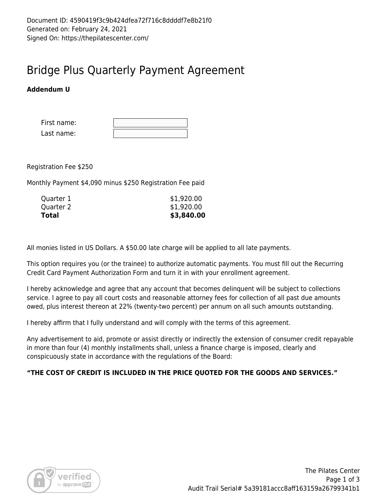## Bridge Plus Quarterly Payment Agreement

## **Addendum U**

| First name: |  |
|-------------|--|
| Last name:  |  |

Registration Fee \$250

Monthly Payment \$4,090 minus \$250 Registration Fee paid

| \$3,840.00 |
|------------|
| \$1,920.00 |
| \$1,920.00 |
|            |

All monies listed in US Dollars. A \$50.00 late charge will be applied to all late payments.

This option requires you (or the trainee) to authorize automatic payments. You must fill out the Recurring Credit Card Payment Authorization Form and turn it in with your enrollment agreement.

I hereby acknowledge and agree that any account that becomes delinquent will be subject to collections service. I agree to pay all court costs and reasonable attorney fees for collection of all past due amounts owed, plus interest thereon at 22% (twenty-two percent) per annum on all such amounts outstanding.

I hereby affirm that I fully understand and will comply with the terms of this agreement.

Any advertisement to aid, promote or assist directly or indirectly the extension of consumer credit repayable in more than four (4) monthly installments shall, unless a finance charge is imposed, clearly and conspicuously state in accordance with the regulations of the Board:

### **"THE COST OF CREDIT IS INCLUDED IN THE PRICE QUOTED FOR THE GOODS AND SERVICES."**

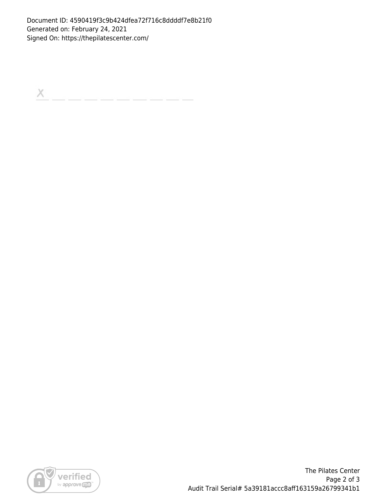Document ID: 4590419f3c9b424dfea72f716c8ddddf7e8b21f0 Generated on: February 24, 2021 Signed On: https://thepilatescenter.com/

 $\boldsymbol{\times}$ 



The Pilates Center Page 2 of 3 Audit Trail Serial# 5a39181accc8aff163159a26799341b1